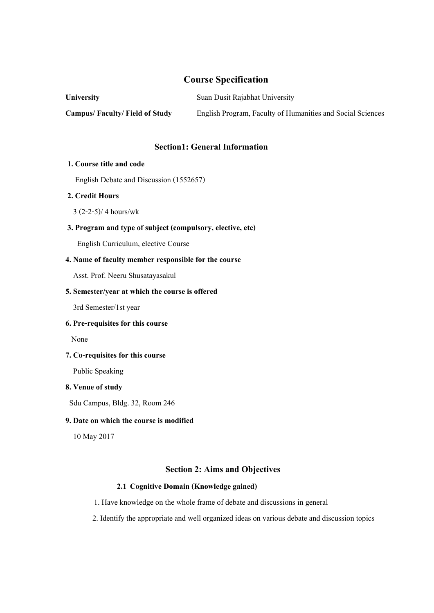# **Course Specification**

**University** Suan Dusit Rajabhat University **Campus/ Faculty/ Field of Study** English Program, Faculty of Humanities and Social Sciences

## **Section1: General Information**

## **1. Course title and code**

English Debate and Discussion (1552657)

# **2. Credit Hours**

 $3(2-2-5)/4$  hours/wk

# **3. Program and type of subject (compulsory, elective, etc)**

English Curriculum, elective Course

### **4. Name of faculty member responsible for the course**

Asst. Prof. Neeru Shusatayasakul

## **5. Semester/year at which the course is offered**

3rd Semester/1st year

# **6. Pre-requisites for this course**

None

# **7. Co-requisites for this course**

Public Speaking

## **8. Venue of study**

Sdu Campus, Bldg. 32, Room 246

## **9. Date on which the course is modified**

10 May 2017

## **Section 2: Aims and Objectives**

## **2.1 Cognitive Domain (Knowledge gained)**

- 1. Have knowledge on the whole frame of debate and discussions in general
- 2. Identify the appropriate and well organized ideas on various debate and discussion topics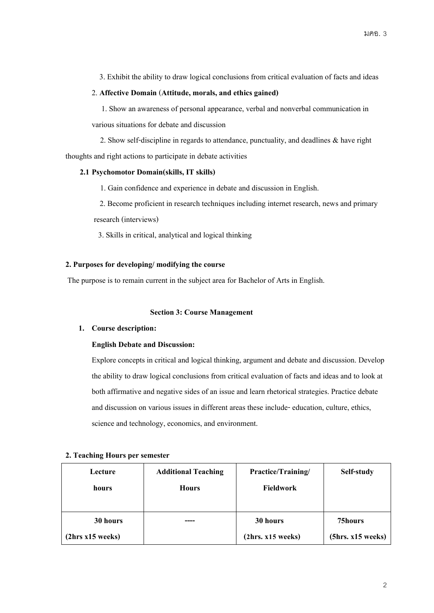3. Exhibit the ability to draw logical conclusions from critical evaluation of facts and ideas

## 2. **Affective Domain**(**Attitude, morals, and ethics gained)**

 1.Show an awareness of personal appearance, verbal and nonverbal communication in various situations for debate and discussion

 2.Show self-discipline in regards to attendance, punctuality, and deadlines & have right thoughts and right actions to participate in debate activities

## **2.1 Psychomotor Domain(skills, IT skills)**

1. Gain confidence and experience in debate and discussion in English.

2. Become proficient in research techniques including internet research, news and primary

research (interviews)

3. Skills in critical, analytical and logical thinking

# **2. Purposes for developing/ modifying the course**

The purpose is to remain current in the subject area for Bachelor of Arts in English.

### **Section 3: Course Management**

# **1. Course description:**

# **English Debate and Discussion:**

Explore concepts in critical and logical thinking, argument and debate and discussion. Develop the ability to draw logical conclusions from critical evaluation of facts and ideas and to look at both affirmative and negative sides of an issue and learn rhetorical strategies. Practice debate and discussion on various issues in different areas these include- education, culture, ethics, science and technology, economics, and environment.

| Lecture |                  | <b>Additional Teaching</b> | Practice/Training/ | Self-study        |
|---------|------------------|----------------------------|--------------------|-------------------|
| hours   |                  | <b>Hours</b>               | <b>Fieldwork</b>   |                   |
|         |                  |                            |                    |                   |
|         | 30 hours         |                            | 30 hours           | 75hours           |
|         | (2hrs x15 weeks) |                            | (2hrs. x15 weeks)  | (5hrs. x15 weeks) |

### **2. Teaching Hours per semester**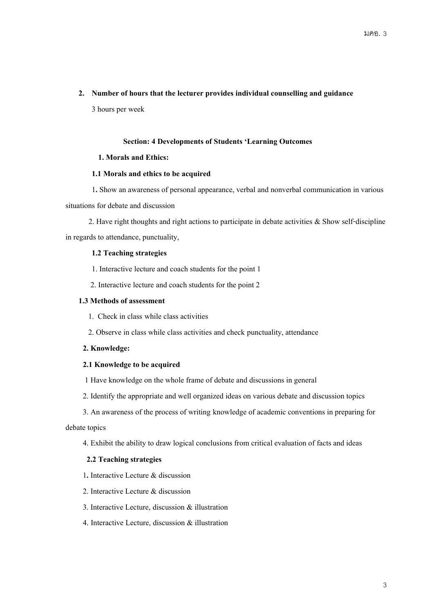## **2. Number of hours that the lecturer provides individual counselling and guidance**

3 hours per week

## **Section: 4 Developments of Students 'Learning Outcomes**

## **1. Morals and Ethics:**

## **1.1 Morals and ethics to be acquired**

1**.**Show an awareness of personal appearance, verbal and nonverbal communication in various situations for debate and discussion

 2. Have right thoughts and right actions to participate in debate activities & Show self-discipline in regards to attendance, punctuality,

## **1.2 Teaching strategies**

1. Interactive lecture and coach students for the point 1

2. Interactive lecture and coach students for the point 2

## **1.3 Methods of assessment**

1. Check in class while class activities

2. Observe in class while class activities and check punctuality, attendance

# **2. Knowledge:**

# **2.1 Knowledge to be acquired**

- 1 Have knowledge on the whole frame of debate and discussions in general
- 2. Identify the appropriate and well organized ideas on various debate and discussion topics
- 3. An awareness of the process of writing knowledge of academic conventions in preparing for

## debate topics

4. Exhibit the ability to draw logical conclusions from critical evaluation of facts and ideas

### **2.2 Teaching strategies**

- 1**.** Interactive Lecture & discussion
- 2. Interactive Lecture & discussion
- 3. Interactive Lecture, discussion & illustration
- 4. Interactive Lecture, discussion & illustration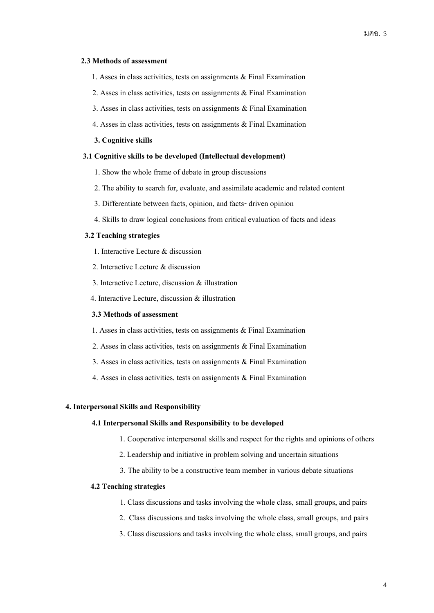#### **2.3 Methods of assessment**

- 1. Asses in class activities, tests on assignments  $\&$  Final Examination
- 2. Asses in class activities, tests on assignments  $\&$  Final Examination
- 3. Asses in class activities, tests on assignments & Final Examination
- 4. Asses in class activities, tests on assignments & Final Examination

#### **3. Cognitive skills**

#### **3.1 Cognitive skills to be developed(Intellectual development)**

- 1.Show the whole frame of debate in group discussions
- 2. The ability to search for, evaluate, and assimilate academic and related content
- 3. Differentiate between facts, opinion, and facts-driven opinion
- 4.Skills to draw logical conclusions from critical evaluation of facts and ideas

## **3.2 Teaching strategies**

- 1. Interactive Lecture & discussion
- 2. Interactive Lecture & discussion
- 3. Interactive Lecture, discussion & illustration
- 4. Interactive Lecture, discussion & illustration

#### **3.3 Methods of assessment**

- 1. Asses in class activities, tests on assignments & Final Examination
- 2. Asses in class activities, tests on assignments & Final Examination
- 3. Asses in class activities, tests on assignments & Final Examination
- 4. Asses in class activities, tests on assignments & Final Examination

#### **4. Interpersonal Skills and Responsibility**

#### **4.1 Interpersonal Skills and Responsibility to be developed**

- 1. Cooperative interpersonal skills and respect for the rights and opinions of others
- 2. Leadership and initiative in problem solving and uncertain situations
- 3. The ability to be a constructive team member in various debate situations

### **4.2 Teaching strategies**

- 1. Class discussions and tasks involving the whole class, small groups, and pairs
- 2. Class discussions and tasks involving the whole class, small groups, and pairs
- 3. Class discussions and tasks involving the whole class, small groups, and pairs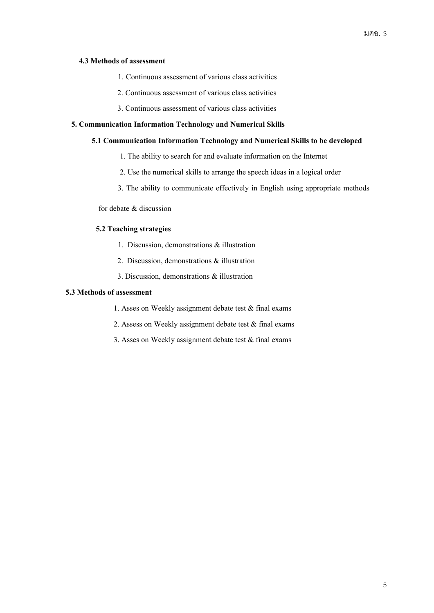## **4.3 Methods of assessment**

- 1. Continuous assessment of various class activities
- 2. Continuous assessment of various class activities
- 3. Continuous assessment of various class activities

## **5. Communication Information Technology and Numerical Skills**

## **5.1 Communication Information Technology and Numerical Skills to be developed**

- 1. The ability to search for and evaluate information on the Internet
- 2. Use the numerical skills to arrange the speech ideas in a logical order
- 3. The ability to communicate effectively in English using appropriate methods

for debate & discussion

# **5.2 Teaching strategies**

- 1. Discussion, demonstrations & illustration
- 2. Discussion, demonstrations & illustration
- 3. Discussion, demonstrations & illustration

# **5.3 Methods of assessment**

- 1. Asses on Weekly assignment debate test & final exams
- 2. Assess on Weekly assignment debate test  $&$  final exams
- 3. Asses on Weekly assignment debate test & final exams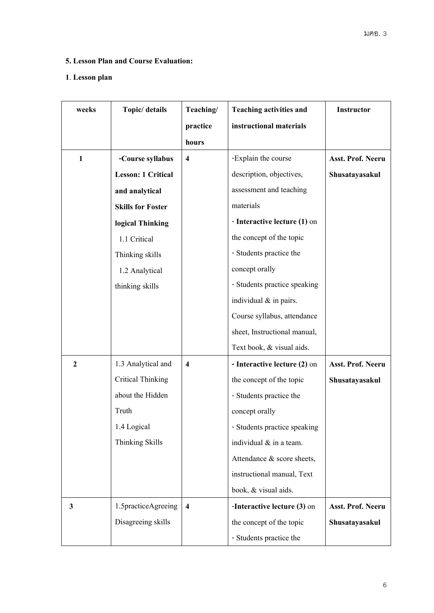# **5. Lesson Plan and Course Evaluation:**

# **1**. **Lesson plan**

| Topic/ details<br>weeks                |                           | Teaching/               | <b>Teaching activities and</b><br>Instructor |                   |
|----------------------------------------|---------------------------|-------------------------|----------------------------------------------|-------------------|
|                                        |                           |                         | instructional materials                      |                   |
|                                        |                           |                         |                                              |                   |
| $\mathbf{1}$                           | -Course syllabus          |                         | -Explain the course                          | Asst. Prof. Neeru |
|                                        | <b>Lesson: 1 Critical</b> |                         | description, objectives,                     | Shusatayasakul    |
|                                        | and analytical            |                         | assessment and teaching                      |                   |
|                                        | <b>Skills for Foster</b>  |                         | materials                                    |                   |
|                                        | logical Thinking          |                         | - Interactive lecture (1) on                 |                   |
|                                        | 1.1 Critical              |                         | the concept of the topic                     |                   |
|                                        | Thinking skills           |                         | - Students practice the                      |                   |
|                                        | 1.2 Analytical            |                         | concept orally                               |                   |
|                                        | thinking skills           |                         | - Students practice speaking                 |                   |
|                                        |                           |                         | individual & in pairs.                       |                   |
|                                        |                           |                         | Course syllabus, attendance                  |                   |
|                                        |                           |                         | sheet, Instructional manual,                 |                   |
|                                        |                           |                         | Text book, & visual aids.                    |                   |
| $\boldsymbol{2}$<br>1.3 Analytical and |                           | $\boldsymbol{4}$        | - Interactive lecture (2) on                 | Asst. Prof. Neeru |
|                                        | <b>Critical Thinking</b>  |                         | the concept of the topic                     | Shusatayasakul    |
|                                        | about the Hidden          |                         | - Students practice the                      |                   |
|                                        | Truth                     |                         | concept orally                               |                   |
|                                        | 1.4 Logical               |                         | - Students practice speaking                 |                   |
|                                        | Thinking Skills           |                         | individual & in a team.                      |                   |
|                                        |                           |                         | Attendance & score sheets,                   |                   |
|                                        |                           |                         | instructional manual, Text                   |                   |
|                                        |                           |                         | book, & visual aids.                         |                   |
| 3                                      | 1.5practiceAgreeing       | $\overline{\mathbf{4}}$ | -Interactive lecture (3) on                  | Asst. Prof. Neeru |
| Disagreeing skills                     |                           |                         | the concept of the topic                     | Shusatayasakul    |
|                                        |                           |                         | - Students practice the                      |                   |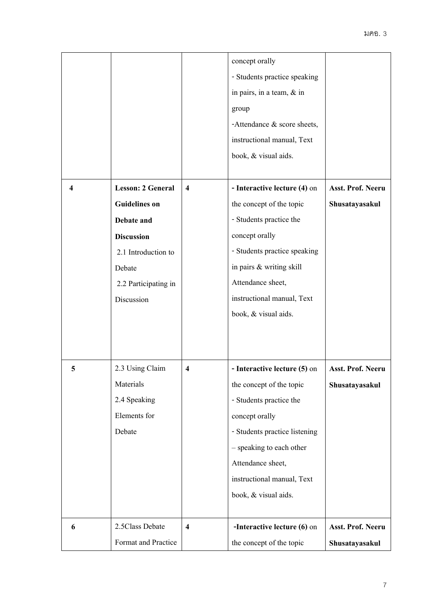|   |                                                     |                         | concept orally                 |                   |  |
|---|-----------------------------------------------------|-------------------------|--------------------------------|-------------------|--|
|   |                                                     |                         | - Students practice speaking   |                   |  |
|   |                                                     |                         | in pairs, in a team, $&$ in    |                   |  |
|   |                                                     |                         | group                          |                   |  |
|   |                                                     |                         | -Attendance $\&$ score sheets, |                   |  |
|   |                                                     |                         | instructional manual, Text     |                   |  |
|   |                                                     |                         | book, & visual aids.           |                   |  |
|   |                                                     |                         |                                |                   |  |
| 4 | <b>Lesson: 2 General</b><br>$\overline{\mathbf{4}}$ |                         | - Interactive lecture (4) on   | Asst. Prof. Neeru |  |
|   | <b>Guidelines on</b>                                |                         | the concept of the topic       | Shusatayasakul    |  |
|   | Debate and                                          |                         | - Students practice the        |                   |  |
|   | <b>Discussion</b>                                   |                         | concept orally                 |                   |  |
|   | 2.1 Introduction to                                 |                         | - Students practice speaking   |                   |  |
|   | Debate                                              |                         | in pairs & writing skill       |                   |  |
|   | 2.2 Participating in                                |                         | Attendance sheet,              |                   |  |
|   | Discussion                                          |                         | instructional manual, Text     |                   |  |
|   |                                                     |                         | book, & visual aids.           |                   |  |
|   |                                                     |                         |                                |                   |  |
|   |                                                     |                         |                                |                   |  |
| 5 | 2.3 Using Claim                                     | $\overline{\bf{4}}$     | - Interactive lecture (5) on   | Asst. Prof. Neeru |  |
|   | Materials                                           |                         | the concept of the topic       | Shusatayasakul    |  |
|   | 2.4 Speaking                                        |                         | - Students practice the        |                   |  |
|   | Elements for                                        |                         | concept orally                 |                   |  |
|   | Debate                                              |                         | - Students practice listening  |                   |  |
|   |                                                     |                         | - speaking to each other       |                   |  |
|   |                                                     |                         | Attendance sheet,              |                   |  |
|   |                                                     |                         | instructional manual, Text     |                   |  |
|   |                                                     |                         | book, & visual aids.           |                   |  |
|   |                                                     |                         |                                |                   |  |
| 6 | 2.5Class Debate                                     | $\overline{\mathbf{4}}$ | -Interactive lecture (6) on    | Asst. Prof. Neeru |  |
|   | Format and Practice                                 |                         | the concept of the topic       | Shusatayasakul    |  |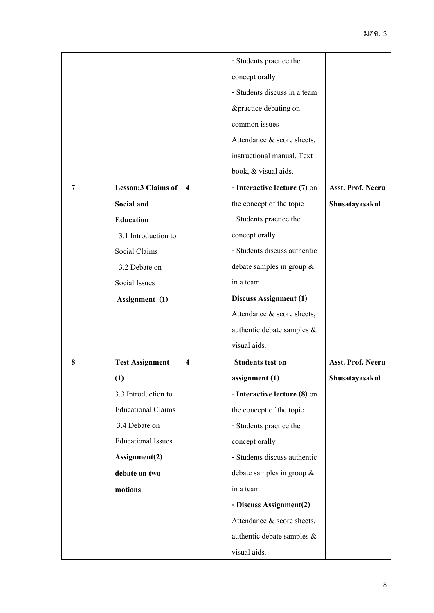|                |                           |                         | - Students practice the       |                   |
|----------------|---------------------------|-------------------------|-------------------------------|-------------------|
|                |                           |                         | concept orally                |                   |
|                |                           |                         | - Students discuss in a team  |                   |
|                |                           |                         | &practice debating on         |                   |
|                |                           |                         | common issues                 |                   |
|                |                           |                         | Attendance & score sheets,    |                   |
|                |                           |                         | instructional manual, Text    |                   |
|                |                           |                         | book, & visual aids.          |                   |
| $\overline{7}$ | <b>Lesson:3 Claims of</b> | $\overline{\mathbf{4}}$ | - Interactive lecture (7) on  | Asst. Prof. Neeru |
|                | Social and                |                         | the concept of the topic      | Shusatayasakul    |
|                | <b>Education</b>          |                         | - Students practice the       |                   |
|                | 3.1 Introduction to       |                         | concept orally                |                   |
|                | Social Claims             |                         | - Students discuss authentic  |                   |
|                | 3.2 Debate on             |                         | debate samples in group $\&$  |                   |
|                | Social Issues             |                         | in a team.                    |                   |
|                | Assignment (1)            |                         | <b>Discuss Assignment (1)</b> |                   |
|                |                           |                         | Attendance & score sheets,    |                   |
|                |                           |                         | authentic debate samples $\&$ |                   |
|                |                           |                         | visual aids.                  |                   |
| 8              | <b>Test Assignment</b>    | 4                       | -Students test on             | Asst. Prof. Neeru |
|                | (1)                       |                         | assignment (1)                | Shusatayasakul    |
|                | 3.3 Introduction to       |                         | - Interactive lecture (8) on  |                   |
|                | <b>Educational Claims</b> |                         | the concept of the topic      |                   |
|                | 3.4 Debate on             |                         | - Students practice the       |                   |
|                | <b>Educational Issues</b> |                         | concept orally                |                   |
|                | Assignment(2)             |                         | - Students discuss authentic  |                   |
|                | debate on two             |                         | debate samples in group $\&$  |                   |
|                | motions                   |                         | in a team.                    |                   |
|                |                           |                         | - Discuss Assignment(2)       |                   |
|                |                           |                         | Attendance & score sheets,    |                   |
|                |                           |                         | authentic debate samples $\&$ |                   |
|                |                           |                         | visual aids.                  |                   |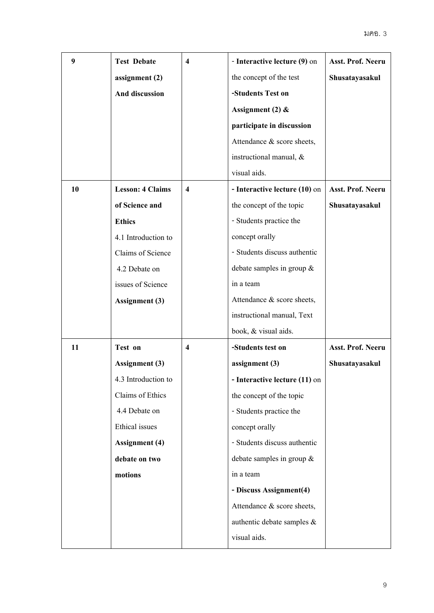| 9                                                        | <b>Test Debate</b>    | 4                   | - Interactive lecture (9) on               | Asst. Prof. Neeru |
|----------------------------------------------------------|-----------------------|---------------------|--------------------------------------------|-------------------|
|                                                          | assignment (2)        |                     | the concept of the test                    | Shusatayasakul    |
|                                                          | And discussion        |                     | -Students Test on                          |                   |
|                                                          |                       |                     | Assignment (2) $&$                         |                   |
|                                                          |                       |                     | participate in discussion                  |                   |
|                                                          |                       |                     | Attendance & score sheets,                 |                   |
|                                                          |                       |                     | instructional manual, &                    |                   |
|                                                          |                       |                     | visual aids.                               |                   |
| 10<br><b>Lesson: 4 Claims</b><br>$\overline{\mathbf{4}}$ |                       |                     | - Interactive lecture (10) on              | Asst. Prof. Neeru |
|                                                          | of Science and        |                     | the concept of the topic<br>Shusatayasakul |                   |
|                                                          | <b>Ethics</b>         |                     | - Students practice the                    |                   |
|                                                          | 4.1 Introduction to   |                     | concept orally                             |                   |
|                                                          | Claims of Science     |                     | - Students discuss authentic               |                   |
|                                                          | 4.2 Debate on         |                     | debate samples in group $\&$               |                   |
|                                                          | issues of Science     |                     | in a team                                  |                   |
| <b>Assignment</b> (3)                                    |                       |                     | Attendance & score sheets,                 |                   |
|                                                          |                       |                     | instructional manual, Text                 |                   |
|                                                          |                       |                     | book, & visual aids.                       |                   |
| 11                                                       | Test on               | $\overline{\bf{4}}$ | -Students test on                          | Asst. Prof. Neeru |
|                                                          | <b>Assignment</b> (3) |                     | assignment (3)                             | Shusatayasakul    |
|                                                          | 4.3 Introduction to   |                     | - Interactive lecture (11) on              |                   |
|                                                          | Claims of Ethics      |                     | the concept of the topic                   |                   |
|                                                          | 4.4 Debate on         |                     | - Students practice the                    |                   |
|                                                          | Ethical issues        |                     | concept orally                             |                   |
|                                                          | <b>Assignment</b> (4) |                     | - Students discuss authentic               |                   |
| debate on two                                            |                       |                     | debate samples in group $\&$               |                   |
| motions                                                  |                       |                     | in a team                                  |                   |
|                                                          |                       |                     | - Discuss Assignment(4)                    |                   |
|                                                          |                       |                     | Attendance & score sheets,                 |                   |
|                                                          |                       |                     | authentic debate samples $\&$              |                   |
|                                                          |                       |                     | visual aids.                               |                   |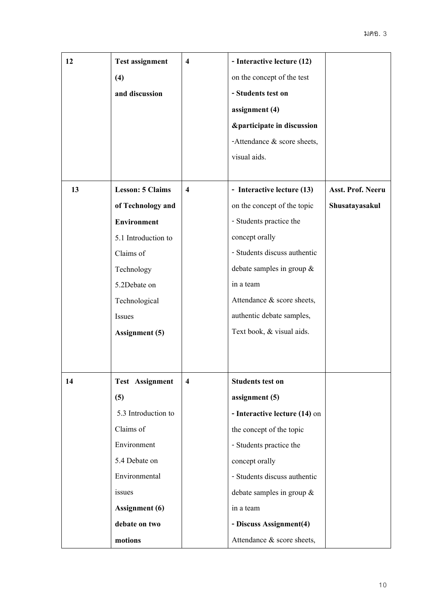| 12     | <b>Test assignment</b>                             | $\overline{\bf{4}}$     | - Interactive lecture (12)     |                   |  |
|--------|----------------------------------------------------|-------------------------|--------------------------------|-------------------|--|
|        | (4)                                                |                         | on the concept of the test     |                   |  |
|        | and discussion                                     |                         | - Students test on             |                   |  |
|        |                                                    |                         | assignment (4)                 |                   |  |
|        |                                                    |                         | &participate in discussion     |                   |  |
|        |                                                    |                         | -Attendance $\&$ score sheets, |                   |  |
|        |                                                    |                         | visual aids.                   |                   |  |
|        |                                                    |                         |                                |                   |  |
| 13     | <b>Lesson: 5 Claims</b><br>$\overline{\mathbf{4}}$ |                         | - Interactive lecture (13)     | Asst. Prof. Neeru |  |
|        | of Technology and                                  |                         | on the concept of the topic    | Shusatayasakul    |  |
|        | <b>Environment</b>                                 |                         | - Students practice the        |                   |  |
|        | 5.1 Introduction to                                |                         | concept orally                 |                   |  |
|        | Claims of                                          |                         | - Students discuss authentic   |                   |  |
|        | Technology                                         |                         | debate samples in group $\&$   |                   |  |
|        | 5.2Debate on                                       |                         | in a team                      |                   |  |
|        | Technological                                      |                         | Attendance & score sheets,     |                   |  |
| Issues |                                                    |                         | authentic debate samples,      |                   |  |
|        | <b>Assignment</b> (5)                              |                         | Text book, & visual aids.      |                   |  |
|        |                                                    |                         |                                |                   |  |
|        |                                                    |                         |                                |                   |  |
| 14     | <b>Test Assignment</b>                             | $\overline{\mathbf{4}}$ | <b>Students test on</b>        |                   |  |
|        | (5)                                                |                         | assignment (5)                 |                   |  |
|        | 5.3 Introduction to                                |                         | - Interactive lecture (14) on  |                   |  |
|        | Claims of                                          |                         | the concept of the topic       |                   |  |
|        | Environment                                        |                         | - Students practice the        |                   |  |
|        | 5.4 Debate on                                      |                         | concept orally                 |                   |  |
|        | Environmental                                      |                         | - Students discuss authentic   |                   |  |
|        | issues                                             |                         | debate samples in group $\&$   |                   |  |
|        | <b>Assignment</b> (6)                              |                         | in a team                      |                   |  |
|        | debate on two                                      |                         | - Discuss Assignment(4)        |                   |  |
|        | motions                                            |                         | Attendance & score sheets,     |                   |  |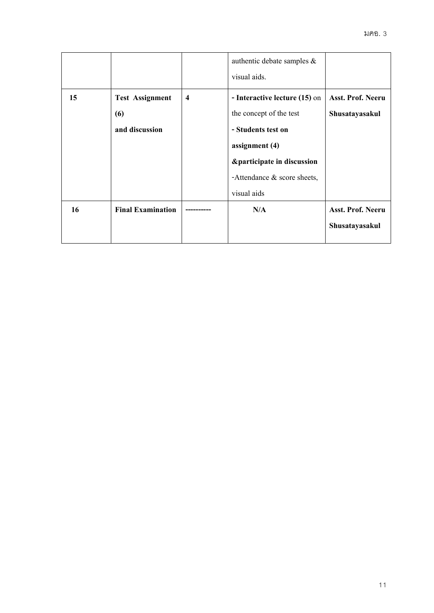|    |                                            |  | authentic debate samples $\&$<br>visual aids. |                          |
|----|--------------------------------------------|--|-----------------------------------------------|--------------------------|
| 15 | <b>Test Assignment</b><br>$\boldsymbol{4}$ |  | - Interactive lecture (15) on                 | <b>Asst. Prof. Neeru</b> |
|    | (6)                                        |  | the concept of the test                       | Shusatayasakul           |
|    | and discussion                             |  | - Students test on                            |                          |
|    |                                            |  | assignment $(4)$                              |                          |
|    |                                            |  | &participate in discussion                    |                          |
|    |                                            |  | -Attendance $\&$ score sheets,                |                          |
|    |                                            |  | visual aids                                   |                          |
| 16 | <b>Final Examination</b>                   |  | N/A                                           | Asst. Prof. Neeru        |
|    |                                            |  |                                               | Shusatayasakul           |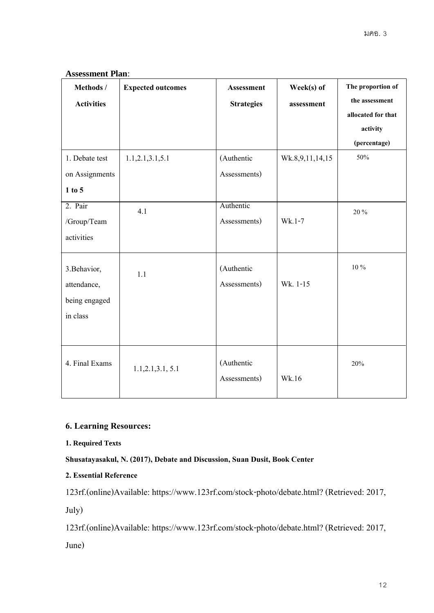# **Assessment Plan**:

| Methods /         | <b>Expected outcomes</b> | <b>Assessment</b> | Week(s) of      | The proportion of  |
|-------------------|--------------------------|-------------------|-----------------|--------------------|
| <b>Activities</b> |                          | <b>Strategies</b> | assessment      | the assessment     |
|                   |                          |                   |                 | allocated for that |
|                   |                          |                   |                 | activity           |
|                   |                          |                   |                 | (percentage)       |
| 1. Debate test    | 1.1, 2.1, 3.1, 5.1       | (Authentic        | Wk.8,9,11,14,15 | 50%                |
| on Assignments    |                          | Assessments)      |                 |                    |
| 1 to 5            |                          |                   |                 |                    |
| 2. Pair           | 4.1                      | Authentic         |                 | 20 %               |
| /Group/Team       |                          | Assessments)      | Wk.1-7          |                    |
| activities        |                          |                   |                 |                    |
|                   |                          |                   |                 |                    |
| 3. Behavior,      | 1.1                      | (Authentic        |                 | $10\,\%$           |
| attendance,       |                          | Assessments)      | Wk. 1-15        |                    |
| being engaged     |                          |                   |                 |                    |
| in class          |                          |                   |                 |                    |
|                   |                          |                   |                 |                    |
|                   |                          |                   |                 |                    |
| 4. Final Exams    | 1.1, 2.1, 3.1, 5.1       | (Authentic        |                 | 20%                |
|                   |                          |                   |                 |                    |
|                   |                          | Assessments)      | Wk.16           |                    |

# **6. Learning Resources:**

# **1. Required Texts**

# **Shusatayasakul, N. (2017), Debate and Discussion, Suan Dusit, Book Center**

# **2. Essential Reference**

123rf.(online)Available: https://www.123rf.com/stock-photo/debate.html? (Retrieved: 2017,

July)

123rf.(online)Available: https://www.123rf.com/stock-photo/debate.html? (Retrieved: 2017,

June)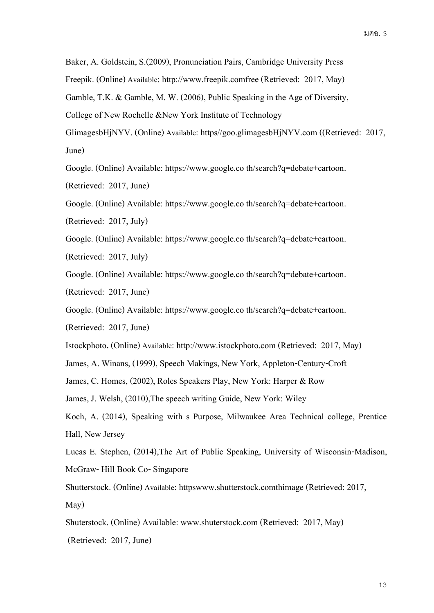Baker, A. Goldstein, S.(2009), Pronunciation Pairs, Cambridge University Press

Freepik. (Online) Available: http://www.freepik.comfree (Retrieved: 2017, May)

Gamble, T.K. & Gamble, M. W. (2006), Public Speaking in the Age of Diversity,

College of New Rochelle &New York Institute of Technology

GlimagesbHjNYV. (Online) Available: https//goo.glimagesbHjNYV.com ((Retrieved: 2017, June)

Google. (Online) Available: https://www.google.co th/search?q=debate+cartoon.

(Retrieved: 2017, June)

Google. (Online) Available: https://www.google.co th/search?q=debate+cartoon.

(Retrieved: 2017, July)

Google. (Online) Available: https://www.google.co th/search?q=debate+cartoon. (Retrieved: 2017, July)

Google. (Online) Available: https://www.google.co th/search?q=debate+cartoon.

(Retrieved: 2017, June)

Google. (Online) Available: https://www.google.co th/search?q=debate+cartoon.

(Retrieved: 2017, June)

Istockphoto**.** (Online) Available: http://www.istockphoto.com (Retrieved: 2017, May)

James, A. Winans, (1999), Speech Makings, New York, Appleton-Century-Croft

James, C. Homes, (2002), Roles Speakers Play, New York: Harper & Row

James, J. Welsh, (2010),The speech writing Guide, New York: Wiley

Koch, A. (2014), Speaking with s Purpose, Milwaukee Area Technical college, Prentice Hall, New Jersey

Lucas E. Stephen, (2014),The Art of Public Speaking, University of Wisconsin-Madison, McGraw- Hill Book Co-Singapore

Shutterstock. (Online) Available: httpswww.shutterstock.comthimage (Retrieved: 2017, May)

Shuterstock. (Online) Available: www.shuterstock.com (Retrieved: 2017, May) (Retrieved: 2017, June)